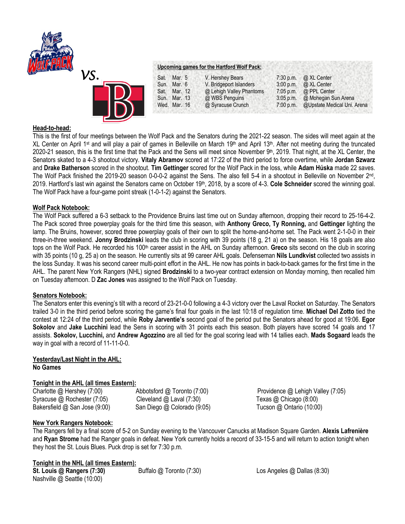

| Sat. | Mar. 5       | V. Hershey Bears         | $7:30$ p.m. | @ XL Center                 |
|------|--------------|--------------------------|-------------|-----------------------------|
|      | Sun. Mar. 6  | V. Bridgeport Islanders  | 3:00 p.m.   | @ XL Center                 |
| Sat. | Mar. 12      | @ Lehigh Valley Phantoms | $7:05$ p.m. | @ PPL Center                |
|      | Sun. Mar. 13 | @ WBS Penguins           | $3:05$ p.m. | @ Mohegan Sun Arena         |
|      | Wed. Mar. 16 | @ Syracuse Crunch        | 7:00 p.m.   | @Upstate Medical Uni. Arena |

### **Head-to-head:**

This is the first of four meetings between the Wolf Pack and the Senators during the 2021-22 season. The sides will meet again at the XL Center on April 1<sup>st</sup> and will play a pair of games in Belleville on March 19<sup>th</sup> and April 13<sup>th</sup>. After not meeting during the truncated 2020-21 season, this is the first time that the Pack and the Sens will meet since November  $9<sup>th</sup>$ , 2019. That night, at the XL Center, the Senators skated to a 4-3 shootout victory. **Vitaly Abramov** scored at 17:22 of the third period to force overtime, while **Jordan Szwarz**  and **Drake Batherson** scored in the shootout. **Tim Gettinger** scored for the Wolf Pack in the loss, while **Adam Húska** made 22 saves. The Wolf Pack finished the 2019-20 season 0-0-0-2 against the Sens. The also fell 5-4 in a shootout in Belleville on November 2<sup>nd</sup>, 2019. Hartford's last win against the Senators came on October 19th , 2018, by a score of 4-3. **Cole Schneider** scored the winning goal. The Wolf Pack have a four-game point streak (1-0-1-2) against the Senators.

## **Wolf Pack Notebook:**

The Wolf Pack suffered a 6-3 setback to the Providence Bruins last time out on Sunday afternoon, dropping their record to 25-16-4-2. The Pack scored three powerplay goals for the third time this season, with **Anthony Greco, Ty Ronning,** and **Gettinger** lighting the lamp. The Bruins, however, scored three powerplay goals of their own to split the home-and-home set. The Pack went 2-1-0-0 in their three-in-three weekend. **Jonny Brodzinski** leads the club in scoring with 39 points (18 g, 21 a) on the season. His 18 goals are also tops on the Wolf Pack. He recorded his 100th career assist in the AHL on Sunday afternoon. **Greco** sits second on the club in scoring with 35 points (10 g, 25 a) on the season. He currently sits at 99 career AHL goals. Defenseman **Nils Lundkvist** collected two assists in the loss Sunday. It was his second career multi-point effort in the AHL. He now has points in back-to-back games for the first time in the AHL. The parent New York Rangers (NHL) signed **Brodzinski** to a two-year contract extension on Monday morning, then recalled him on Tuesday afternoon. D **Zac Jones** was assigned to the Wolf Pack on Tuesday.

### **Senators Notebook:**

The Senators enter this evening's tilt with a record of 23-21-0-0 following a 4-3 victory over the Laval Rocket on Saturday. The Senators trailed 3-0 in the third period before scoring the game's final four goals in the last 10:18 of regulation time. **Michael Del Zotto** tied the contest at 12:24 of the third period, while **Roby Jarventie's** second goal of the period put the Senators ahead for good at 19:06. **Egor Sokolov** and **Jake Lucchini** lead the Sens in scoring with 31 points each this season. Both players have scored 14 goals and 17 assists. **Sokolov, Lucchini,** and **Andrew Agozzino** are all tied for the goal scoring lead with 14 tallies each. **Mads Sogaard** leads the way in goal with a record of 11-11-0-0.

# **Yesterday/Last Night in the AHL:**

**No Games**

### **Tonight in the AHL (all times Eastern):**

Syracuse @ Rochester (7:05) Cleveland @ Laval (7:30) Texas @ Chicago (8:00) Bakersfield @ San Jose (9:00) San Diego @ Colorado (9:05) Tucson @ Ontario (10:00)

Charlotte @ Hershey (7:00) Abbotsford @ Toronto (7:00) Providence @ Lehigh Valley (7:05)

### **New York Rangers Notebook:**

The Rangers fell by a final score of 5-2 on Sunday evening to the Vancouver Canucks at Madison Square Garden. **Alexis Lafrenière** and **Ryan Strome** had the Ranger goals in defeat. New York currently holds a record of 33-15-5 and will return to action tonight when they host the St. Louis Blues. Puck drop is set for 7:30 p.m.

### **Tonight in the NHL (all times Eastern):**

**St. Louis @ Rangers (7:30)** Buffalo @ Toronto (7:30) Los Angeles @ Dallas (8:30) Nashville @ Seattle (10:00)